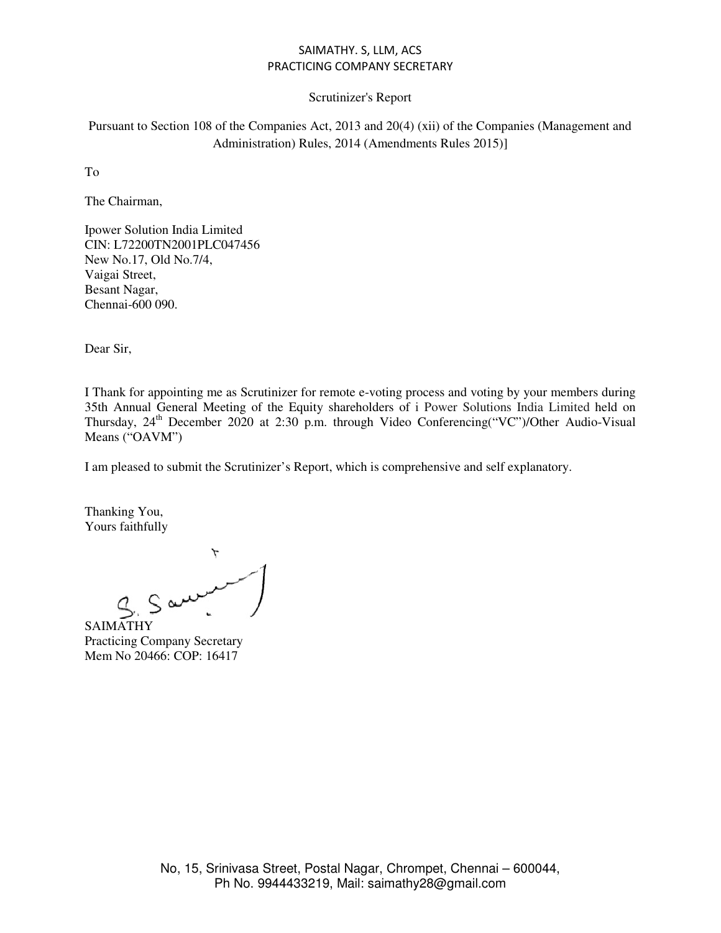### Scrutinizer's Report

Pursuant to Section 108 of the Companies Act, 2013 and 20(4) (xii) of the Companies (Management and Administration) Rules, 2014 (Amendments Rules 2015)]

To

The Chairman,

Ipower Solution India Limited CIN: L72200TN2001PLC047456 New No.17, Old No.7/4, Vaigai Street, Besant Nagar, Chennai-600 090.

Dear Sir,

I Thank for appointing me as Scrutinizer for remote e-voting process and voting by your members during 35th Annual General Meeting of the Equity shareholders of i Power Solutions India Limited held on Thursday, 24<sup>th</sup> December 2020 at 2:30 p.m. through Video Conferencing("VC")/Other Audio-Visual Means ("OAVM")

I am pleased to submit the Scrutinizer's Report, which is comprehensive and self explanatory.

Thanking You, Yours faithfully

saimathy

Practicing Company Secretary Mem No 20466: COP: 16417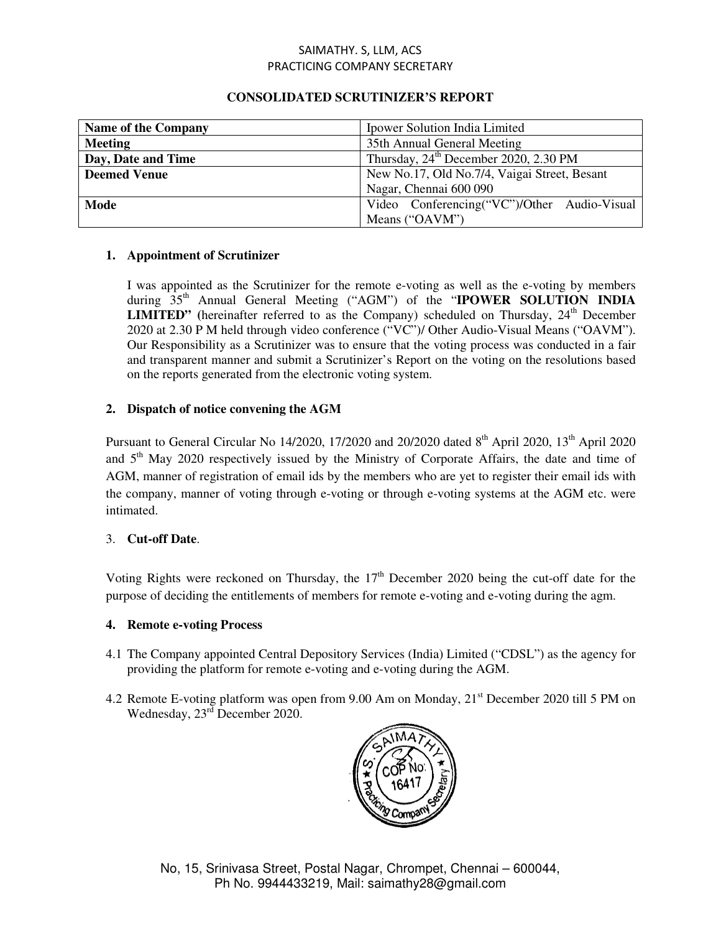| <b>Name of the Company</b> | Ipower Solution India Limited                     |  |
|----------------------------|---------------------------------------------------|--|
| <b>Meeting</b>             | 35th Annual General Meeting                       |  |
| Day, Date and Time         | Thursday, 24 <sup>th</sup> December 2020, 2.30 PM |  |
| <b>Deemed Venue</b>        | New No.17, Old No.7/4, Vaigai Street, Besant      |  |
|                            | Nagar, Chennai 600 090                            |  |
| Mode                       | Video Conferencing("VC")/Other Audio-Visual       |  |
|                            | Means ("OAVM")                                    |  |

## **CONSOLIDATED SCRUTINIZER'S REPORT**

## **1. Appointment of Scrutinizer**

I was appointed as the Scrutinizer for the remote e-voting as well as the e-voting by members during 35<sup>th</sup> Annual General Meeting ("AGM") of the "**IPOWER SOLUTION INDIA LIMITED"** (hereinafter referred to as the Company) scheduled on Thursday,  $24<sup>th</sup>$  December 2020 at 2.30 P M held through video conference ("VC")/ Other Audio-Visual Means ("OAVM"). Our Responsibility as a Scrutinizer was to ensure that the voting process was conducted in a fair and transparent manner and submit a Scrutinizer's Report on the voting on the resolutions based on the reports generated from the electronic voting system.

# **2. Dispatch of notice convening the AGM**

Pursuant to General Circular No 14/2020, 17/2020 and 20/2020 dated  $8<sup>th</sup>$  April 2020, 13<sup>th</sup> April 2020 and 5<sup>th</sup> May 2020 respectively issued by the Ministry of Corporate Affairs, the date and time of AGM, manner of registration of email ids by the members who are yet to register their email ids with the company, manner of voting through e-voting or through e-voting systems at the AGM etc. were intimated.

## 3. **Cut-off Date**.

Voting Rights were reckoned on Thursday, the  $17<sup>th</sup>$  December 2020 being the cut-off date for the purpose of deciding the entitlements of members for remote e-voting and e-voting during the agm.

## **4. Remote e-voting Process**

- 4.1 The Company appointed Central Depository Services (India) Limited ("CDSL") as the agency for providing the platform for remote e-voting and e-voting during the AGM.
- 4.2 Remote E-voting platform was open from 9.00 Am on Monday, 21<sup>st</sup> December 2020 till 5 PM on Wednesday,  $23<sup>rd</sup>$  December 2020.

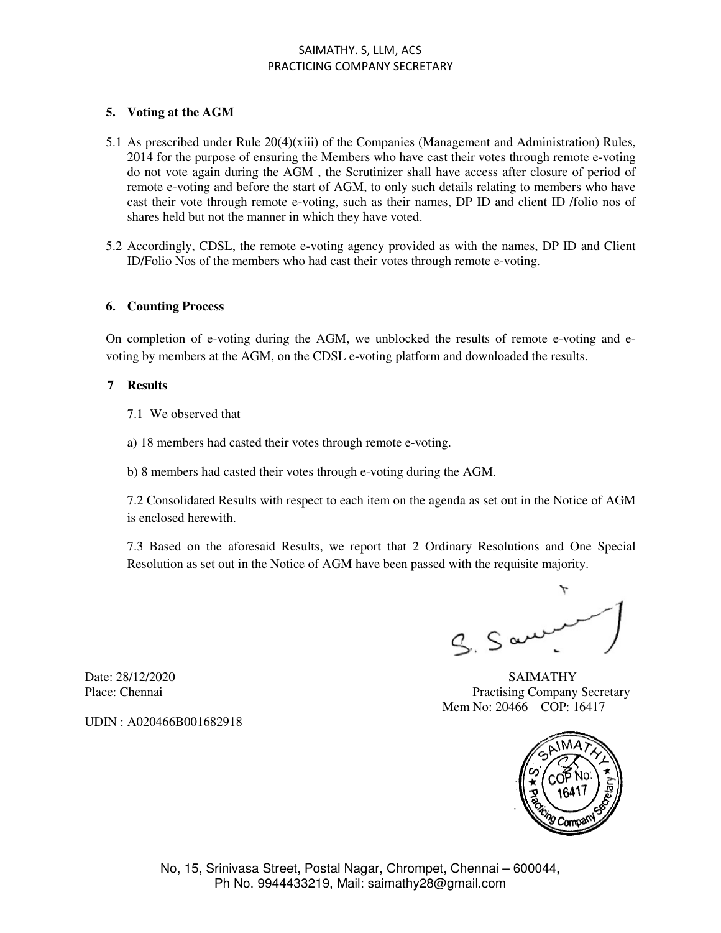### **5. Voting at the AGM**

- 5.1 As prescribed under Rule 20(4)(xiii) of the Companies (Management and Administration) Rules, 2014 for the purpose of ensuring the Members who have cast their votes through remote e-voting do not vote again during the AGM , the Scrutinizer shall have access after closure of period of remote e-voting and before the start of AGM, to only such details relating to members who have cast their vote through remote e-voting, such as their names, DP ID and client ID /folio nos of shares held but not the manner in which they have voted.
- 5.2 Accordingly, CDSL, the remote e-voting agency provided as with the names, DP ID and Client ID/Folio Nos of the members who had cast their votes through remote e-voting.

#### **6. Counting Process**

On completion of e-voting during the AGM, we unblocked the results of remote e-voting and evoting by members at the AGM, on the CDSL e-voting platform and downloaded the results.

#### **7 Results**

- 7.1 We observed that
- a) 18 members had casted their votes through remote e-voting.
- b) 8 members had casted their votes through e-voting during the AGM.

7.2 Consolidated Results with respect to each item on the agenda as set out in the Notice of AGM is enclosed herewith.

7.3 Based on the aforesaid Results, we report that 2 Ordinary Resolutions and One Special Resolution as set out in the Notice of AGM have been passed with the requisite majority.

 $g$ ,  $S$  and

UDIN : A020466B001682918

Date: 28/12/2020 SAIMATHY Place: Chennai Practising Company Secretary Mem No: 20466 COP: 16417



No, 15, Srinivasa Street, Postal Nagar, Chrompet, Chennai – 600044, Ph No. 9944433219, Mail: saimathy28@gmail.com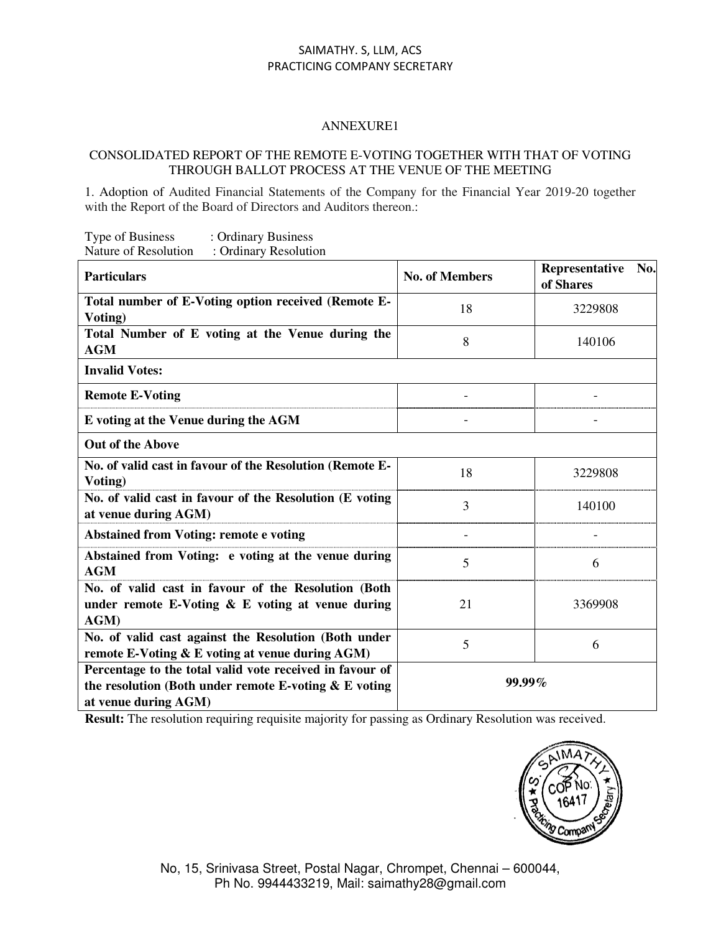### ANNEXURE1

#### CONSOLIDATED REPORT OF THE REMOTE E-VOTING TOGETHER WITH THAT OF VOTING THROUGH BALLOT PROCESS AT THE VENUE OF THE MEETING

1. Adoption of Audited Financial Statements of the Company for the Financial Year 2019-20 together with the Report of the Board of Directors and Auditors thereon.:

| Type of Business     | : Ordinary Business   |
|----------------------|-----------------------|
| Nature of Resolution | : Ordinary Resolution |

| <b>Particulars</b>                                                                                                                        | <b>No. of Members</b> | Representative<br>No.<br>of Shares |  |  |
|-------------------------------------------------------------------------------------------------------------------------------------------|-----------------------|------------------------------------|--|--|
| Total number of E-Voting option received (Remote E-<br>Voting)                                                                            | 18                    | 3229808                            |  |  |
| Total Number of E voting at the Venue during the<br><b>AGM</b>                                                                            | 8                     | 140106                             |  |  |
| <b>Invalid Votes:</b>                                                                                                                     |                       |                                    |  |  |
| <b>Remote E-Voting</b>                                                                                                                    |                       |                                    |  |  |
| E voting at the Venue during the AGM                                                                                                      |                       |                                    |  |  |
| <b>Out of the Above</b>                                                                                                                   |                       |                                    |  |  |
| No. of valid cast in favour of the Resolution (Remote E-<br>Voting)                                                                       | 18                    | 3229808                            |  |  |
| No. of valid cast in favour of the Resolution (E voting<br>at venue during AGM)                                                           | 3                     | 140100                             |  |  |
| <b>Abstained from Voting: remote e voting</b>                                                                                             |                       |                                    |  |  |
| Abstained from Voting: e voting at the venue during<br><b>AGM</b>                                                                         | 5                     | 6                                  |  |  |
| No. of valid cast in favour of the Resolution (Both<br>under remote E-Voting & E voting at venue during<br>AGM)                           | 21                    | 3369908                            |  |  |
| No. of valid cast against the Resolution (Both under<br>remote E-Voting & E voting at venue during AGM)                                   | 5                     | 6                                  |  |  |
| Percentage to the total valid vote received in favour of<br>the resolution (Both under remote E-voting & E voting<br>at venue during AGM) | 99.99%                |                                    |  |  |

**Result:** The resolution requiring requisite majority for passing as Ordinary Resolution was received.

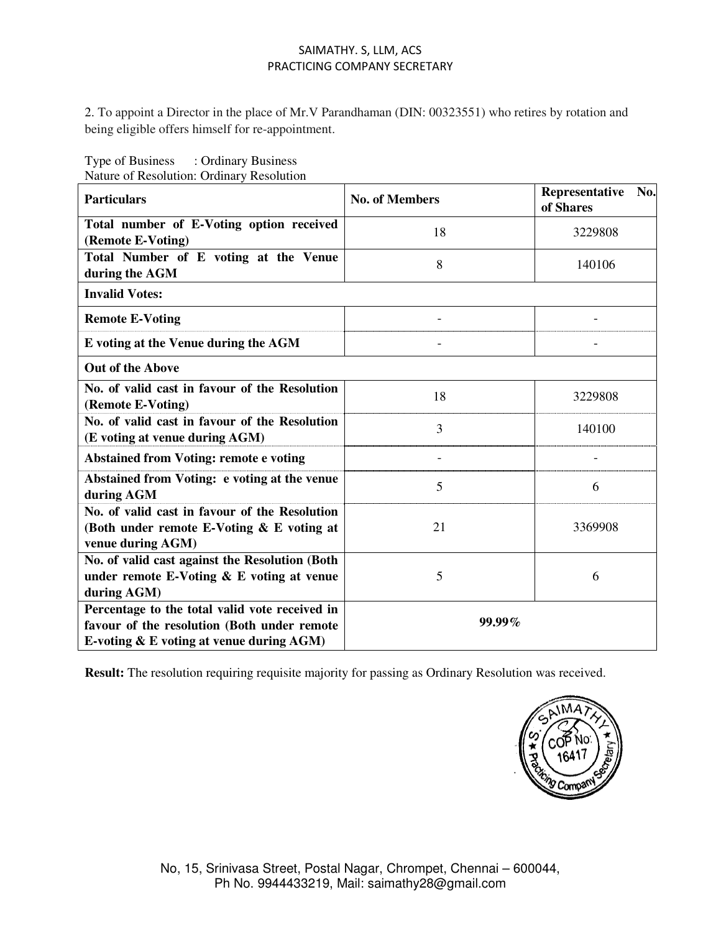2. To appoint a Director in the place of Mr.V Parandhaman (DIN: 00323551) who retires by rotation and being eligible offers himself for re-appointment.

Type of Business : Ordinary Business Nature of Resolution: Ordinary Resolution

| <b>Particulars</b>                                                                                                                           | <b>No. of Members</b> | Representative<br>No.<br>of Shares |  |  |
|----------------------------------------------------------------------------------------------------------------------------------------------|-----------------------|------------------------------------|--|--|
| Total number of E-Voting option received<br>(Remote E-Voting)                                                                                | 18                    | 3229808                            |  |  |
| Total Number of E voting at the Venue<br>during the AGM                                                                                      | 8                     | 140106                             |  |  |
| <b>Invalid Votes:</b>                                                                                                                        |                       |                                    |  |  |
| <b>Remote E-Voting</b>                                                                                                                       |                       |                                    |  |  |
| E voting at the Venue during the AGM                                                                                                         |                       |                                    |  |  |
| <b>Out of the Above</b>                                                                                                                      |                       |                                    |  |  |
| No. of valid cast in favour of the Resolution<br>(Remote E-Voting)                                                                           | 18                    | 3229808                            |  |  |
| No. of valid cast in favour of the Resolution<br>(E voting at venue during AGM)                                                              | 3                     | 140100                             |  |  |
| <b>Abstained from Voting: remote e voting</b>                                                                                                |                       |                                    |  |  |
| Abstained from Voting: e voting at the venue<br>during AGM                                                                                   | 5                     | 6                                  |  |  |
| No. of valid cast in favour of the Resolution<br>(Both under remote E-Voting & E voting at<br>venue during AGM)                              | 21                    | 3369908                            |  |  |
| No. of valid cast against the Resolution (Both<br>under remote E-Voting $\&$ E voting at venue<br>during AGM)                                | 5                     | 6                                  |  |  |
| Percentage to the total valid vote received in<br>favour of the resolution (Both under remote<br>E-voting $\&$ E voting at venue during AGM) | $99.99\%$             |                                    |  |  |

**Result:** The resolution requiring requisite majority for passing as Ordinary Resolution was received.